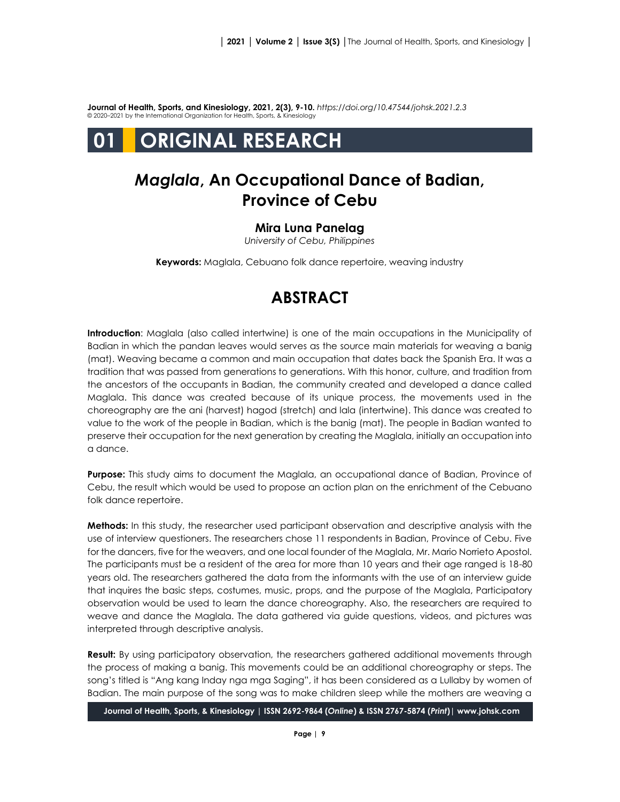**Journal of Health, Sports, and Kinesiology, 2021, 2(3), 9-10.** *<https://doi.org/10.47544/johsk.2021.2.3>* © 2020–2021 by the International Organization for Health, Sports, & Kinesiology

# **01 ORIGINAL RESEARCH**

#### *Maglala***, An Occupational Dance of Badian, Province of Cebu**

#### **Mira Luna Panelag**

*University of Cebu, Philippines*

**Keywords:** Maglala, Cebuano folk dance repertoire, weaving industry

## **ABSTRACT**

**Introduction**: Maglala (also called intertwine) is one of the main occupations in the Municipality of Badian in which the pandan leaves would serves as the source main materials for weaving a banig (mat). Weaving became a common and main occupation that dates back the Spanish Era. It was a tradition that was passed from generations to generations. With this honor, culture, and tradition from the ancestors of the occupants in Badian, the community created and developed a dance called Maglala. This dance was created because of its unique process, the movements used in the choreography are the ani (harvest) hagod (stretch) and lala (intertwine). This dance was created to value to the work of the people in Badian, which is the banig (mat). The people in Badian wanted to preserve their occupation for the next generation by creating the Maglala, initially an occupation into a dance.

**Purpose:** This study aims to document the Maglala, an occupational dance of Badian, Province of Cebu, the result which would be used to propose an action plan on the enrichment of the Cebuano folk dance repertoire.

**Methods:** In this study, the researcher used participant observation and descriptive analysis with the use of interview questioners. The researchers chose 11 respondents in Badian, Province of Cebu. Five for the dancers, five for the weavers, and one local founder of the Maglala, Mr. Mario Norrieto Apostol. The participants must be a resident of the area for more than 10 years and their age ranged is 18-80 years old. The researchers gathered the data from the informants with the use of an interview guide that inquires the basic steps, costumes, music, props, and the purpose of the Maglala, Participatory observation would be used to learn the dance choreography. Also, the researchers are required to weave and dance the Maglala. The data gathered via guide questions, videos, and pictures was interpreted through descriptive analysis.

**Result:** By using participatory observation, the researchers gathered additional movements through the process of making a banig. This movements could be an additional choreography or steps. The song's titled is "Ang kang Inday nga mga Saging", it has been considered as a Lullaby by women of Badian. The main purpose of the song was to make children sleep while the mothers are weaving a

**Journal of Health, Sports, & Kinesiology | ISSN 2692-9864 (***Online***) & ISSN 2767-5874 (***Print***)| www.johsk.com**